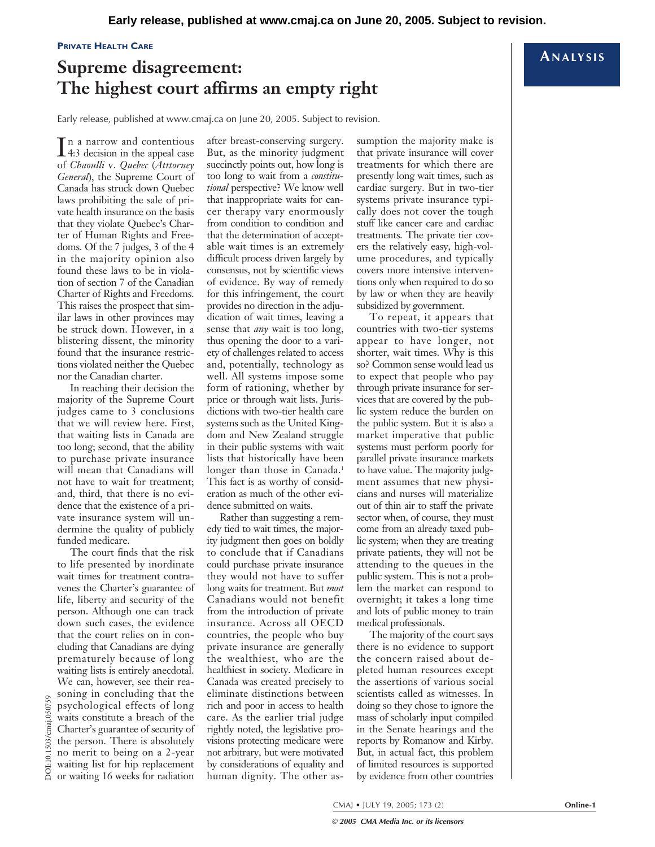**PRIVATE HEALTH CARE**

## **Supreme disagreement: The highest court affirms an empty right**

Early release, published at www.cmaj.ca on June 20, 2005. Subject to revision.

 $\prod$ n a narrow and contentious<br>4.3 decision in the appeal case 4:3 decision in the appeal case of *Chaoulli* v. *Quebec* (*Atttorney General*), the Supreme Court of Canada has struck down Quebec laws prohibiting the sale of private health insurance on the basis that they violate Quebec's Charter of Human Rights and Freedoms. Of the 7 judges, 3 of the 4 in the majority opinion also found these laws to be in violation of section 7 of the Canadian Charter of Rights and Freedoms. This raises the prospect that similar laws in other provinces may be struck down. However, in a blistering dissent, the minority found that the insurance restrictions violated neither the Quebec nor the Canadian charter.

In reaching their decision the majority of the Supreme Court judges came to 3 conclusions that we will review here. First, that waiting lists in Canada are too long; second, that the ability to purchase private insurance will mean that Canadians will not have to wait for treatment; and, third, that there is no evidence that the existence of a private insurance system will undermine the quality of publicly funded medicare.

The court finds that the risk to life presented by inordinate wait times for treatment contravenes the Charter's guarantee of life, liberty and security of the person. Although one can track down such cases, the evidence that the court relies on in concluding that Canadians are dying prematurely because of long waiting lists is entirely anecdotal.

We can, however, see their reasoning in concluding that the psychological effects of long waits constitute a breach of the Charter's guarantee of security of the person. There is absolutely no merit to being on a 2-year waiting list for hip replacement or waiting 16 weeks for radiation

DOI:10.1503/cmaj.050759

after breast-conserving surgery. But, as the minority judgment succinctly points out, how long is too long to wait from a *constitutional* perspective? We know well that inappropriate waits for cancer therapy vary enormously from condition to condition and that the determination of acceptable wait times is an extremely difficult process driven largely by consensus, not by scientific views of evidence. By way of remedy for this infringement, the court provides no direction in the adjudication of wait times, leaving a sense that *any* wait is too long, thus opening the door to a variety of challenges related to access and, potentially, technology as well. All systems impose some form of rationing, whether by price or through wait lists. Jurisdictions with two-tier health care systems such as the United Kingdom and New Zealand struggle in their public systems with wait lists that historically have been longer than those in Canada.<sup>1</sup> This fact is as worthy of consideration as much of the other evidence submitted on waits.

Rather than suggesting a remedy tied to wait times, the majority judgment then goes on boldly to conclude that if Canadians could purchase private insurance they would not have to suffer long waits for treatment. But *most* Canadians would not benefit from the introduction of private insurance. Across all OECD countries, the people who buy private insurance are generally the wealthiest, who are the healthiest in society. Medicare in Canada was created precisely to eliminate distinctions between rich and poor in access to health care. As the earlier trial judge rightly noted, the legislative provisions protecting medicare were not arbitrary, but were motivated by considerations of equality and human dignity. The other as-

sumption the majority make is that private insurance will cover treatments for which there are presently long wait times, such as cardiac surgery. But in two-tier systems private insurance typically does not cover the tough stuff like cancer care and cardiac treatments. The private tier covers the relatively easy, high-volume procedures, and typically covers more intensive interventions only when required to do so by law or when they are heavily subsidized by government.

To repeat, it appears that countries with two-tier systems appear to have longer, not shorter, wait times. Why is this so? Common sense would lead us to expect that people who pay through private insurance for services that are covered by the public system reduce the burden on the public system. But it is also a market imperative that public systems must perform poorly for parallel private insurance markets to have value. The majority judgment assumes that new physicians and nurses will materialize out of thin air to staff the private sector when, of course, they must come from an already taxed public system; when they are treating private patients, they will not be attending to the queues in the public system. This is not a problem the market can respond to overnight; it takes a long time and lots of public money to train medical professionals.

The majority of the court says there is no evidence to support the concern raised about depleted human resources except the assertions of various social scientists called as witnesses. In doing so they chose to ignore the mass of scholarly input compiled in the Senate hearings and the reports by Romanow and Kirby. But, in actual fact, this problem of limited resources is supported by evidence from other countries